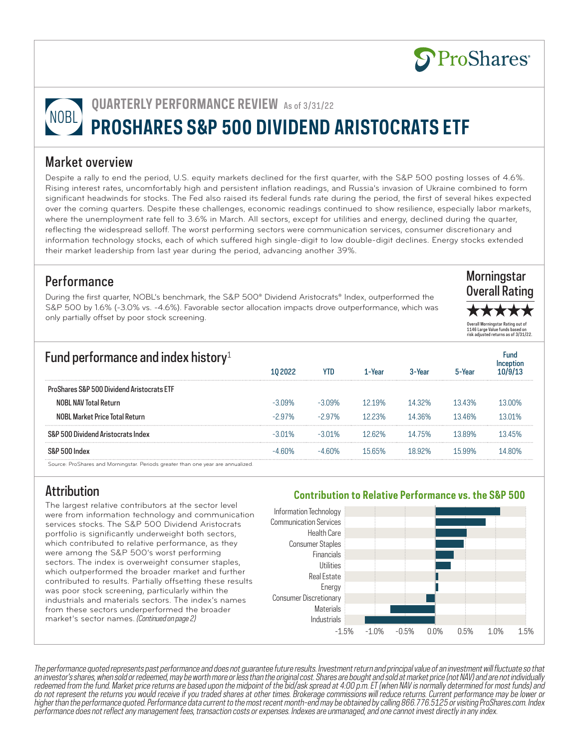

# **QUARTERLY PERFORMANCE REVIEW** As of 3/31/22 **PROSHARES S&P 500 DIVIDEND ARISTOCRATS ETF**

## Market overview

Despite a rally to end the period, U.S. equity markets declined for the first quarter, with the S&P 500 posting losses of 4.6%. Rising interest rates, uncomfortably high and persistent inflation readings, and Russia's invasion of Ukraine combined to form significant headwinds for stocks. The Fed also raised its federal funds rate during the period, the first of several hikes expected over the coming quarters. Despite these challenges, economic readings continued to show resilience, especially labor markets, where the unemployment rate fell to 3.6% in March. All sectors, except for utilities and energy, declined during the quarter, reflecting the widespread selloff. The worst performing sectors were communication services, consumer discretionary and information technology stocks, each of which suffered high single-digit to low double-digit declines. Energy stocks extended their market leadership from last year during the period, advancing another 39%.

# **Performance**

During the first quarter, NOBL's benchmark, the S&P 500® Dividend Aristocrats® Index, outperformed the S&P 500 by 1.6% (-3.0% vs. -4.6%). Favorable sector allocation impacts drove outperformance, which was only partially offset by poor stock screening.



\*\*\*\*\* Overall Morningstar Rating out of 1146 Large Value funds based on risk adjusted returns as of 3/31/22.

| Fund performance and index history <sup>1</sup>                                  |           |           |         |        |        | Fund   |
|----------------------------------------------------------------------------------|-----------|-----------|---------|--------|--------|--------|
|                                                                                  |           | YTD       | l -Year |        |        |        |
| <b>ProShares S&amp;P 500 Dividend Aristocrats FTF</b>                            |           |           |         |        |        |        |
| <b>NOBL NAV Total Return</b>                                                     | $-3.09\%$ | $-3.09\%$ | 1219%   | 14 32% | 1343%  | 13 በበ% |
| <b>NOBL Market Price Total Return</b>                                            | $-297%$   | $-297%$   | 1223%   | 14 36% | 1346%  | 1301%  |
| S&P 500 Dividend Aristocrats Index                                               | -3 01%    | $-3.01\%$ | 1262%   | 14 75% | 1389%  | 1345%  |
| S&P 500 Index                                                                    | በ‰        | . 60%     | 1565%   | ገጋ%    | 15 99% | 14 ጸበ% |
| Source: ProShares and Morningstar. Periods greater than one year are annualized. |           |           |         |        |        |        |

Attribution

The largest relative contributors at the sector level were from information technology and communication services stocks. The S&P 500 Dividend Aristocrats portfolio is significantly underweight both sectors, which contributed to relative performance, as they were among the S&P 500's worst performing sectors. The index is overweight consumer staples, which outperformed the broader market and further contributed to results. Partially offsetting these results was poor stock screening, particularly within the industrials and materials sectors. The index's names from these sectors underperformed the broader market's sector names. (Continued on page 2)

### **Contribution to Relative Performance vs. the S&P 500**



The performance quoted represents past performance and does not guarantee future results. Investment return and principal value of an investment will fluctuate so that an investor's shares, when sold or redeemed, may be worth more or less than the original cost. Shares are bought and sold at market price (not NAV) and are not individually redeemed from the fund. Market price returns are based upon the midpoint of the bid/ask spread at 4:00 p.m. ET (when NAV is normally determined for most funds) and do not represent the returns you would receive if you traded shares at other times. Brokerage commissions will reduce returns. Current performance may be lower or higher than the performance quoted. Performance data current to the most recent month-end may be obtained by calling 866.776.5125 or visiting ProShares.com. Index performance does not reflect any management fees, transaction costs or expenses. Indexes are unmanaged, and one cannot invest directly in any index.